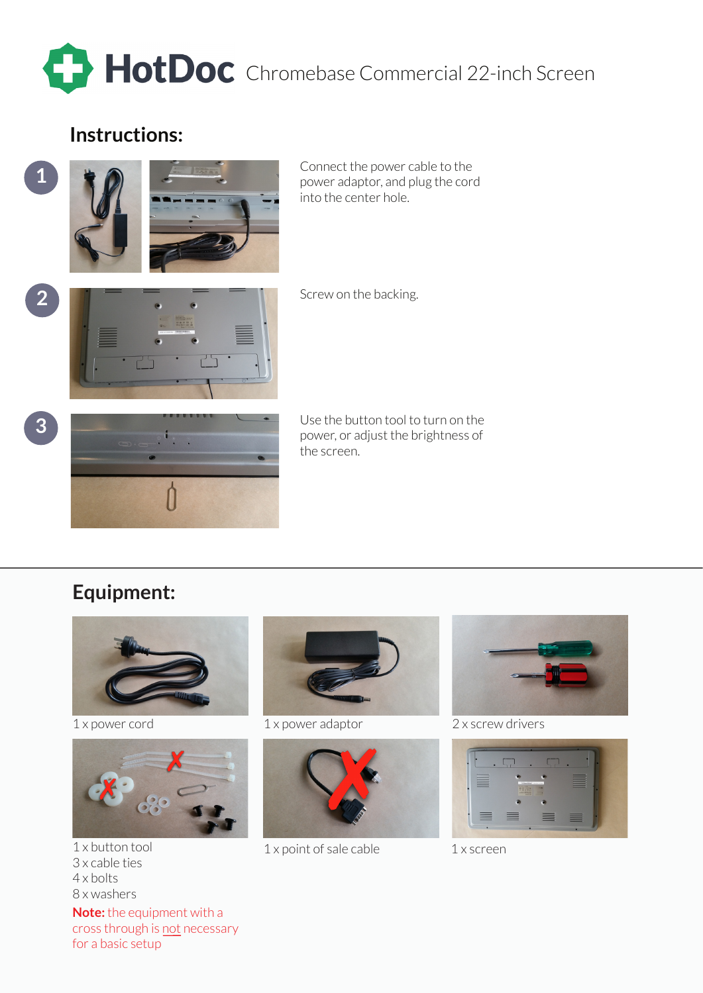

## **Instructions:**

**1**



Connect the power cable to the power adaptor, and plug the cord into the center hole.



Screw on the backing.





Use the button tool to turn on the power, or adjust the brightness of the screen.

## **Equipment:**





3 x cable ties 4 x bolts 8 x washers

**Note:** the equipment with a cross through is not necessary for a basic setup



1 x power cord 1 x power adaptor



1 x button tool 1 x point of sale cable 1 x screen



2 x screw drivers